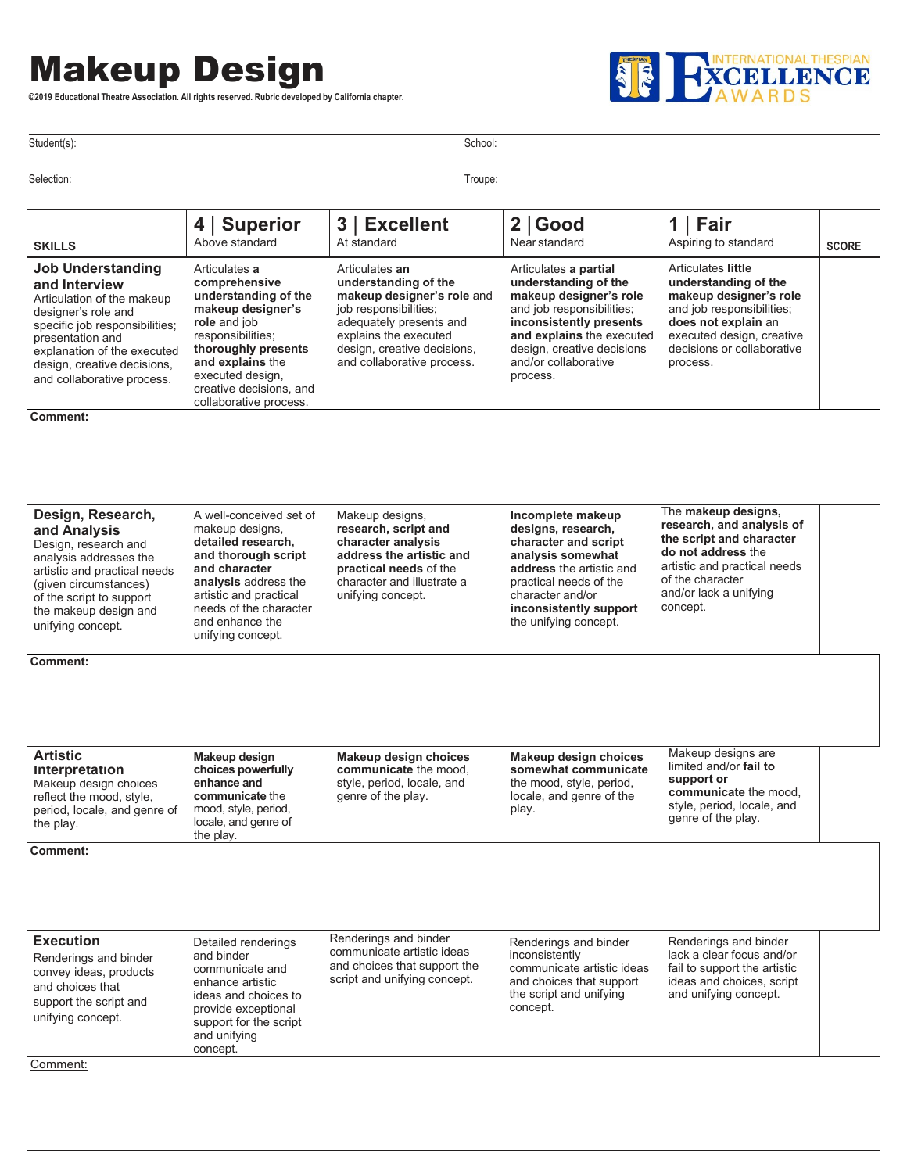## Makeup Design

**©2019 Educational Theatre Association. All rights reserved. Rubric developed by California chapter.**



Student(s): School: Student(s): School: Student(s): School: School: School: School: School: School: School: School: School: School: School: School: School: School: School: School: School: School: School: School: School: Sc

| Articulates a<br>comprehensive<br>understanding of the<br>makeup designer's<br>role and job<br>responsibilities;<br>thoroughly presents<br>and explains the<br>executed design,<br>creative decisions, and                   | Articulates an<br>understanding of the<br>makeup designer's role and<br>job responsibilities;<br>adequately presents and<br>explains the executed<br>design, creative decisions, | Articulates a partial<br>understanding of the<br>makeup designer's role<br>and job responsibilities;<br>inconsistently presents                                                                                          | Articulates little<br>understanding of the<br>makeup designer's role<br>and job responsibilities;                                                                                            |  |
|------------------------------------------------------------------------------------------------------------------------------------------------------------------------------------------------------------------------------|----------------------------------------------------------------------------------------------------------------------------------------------------------------------------------|--------------------------------------------------------------------------------------------------------------------------------------------------------------------------------------------------------------------------|----------------------------------------------------------------------------------------------------------------------------------------------------------------------------------------------|--|
| collaborative process.                                                                                                                                                                                                       | and collaborative process.                                                                                                                                                       | and explains the executed<br>design, creative decisions<br>and/or collaborative<br>process.                                                                                                                              | does not explain an<br>executed design, creative<br>decisions or collaborative<br>process.                                                                                                   |  |
|                                                                                                                                                                                                                              |                                                                                                                                                                                  |                                                                                                                                                                                                                          |                                                                                                                                                                                              |  |
| A well-conceived set of<br>makeup designs,<br>detailed research,<br>and thorough script<br>and character<br>analysis address the<br>artistic and practical<br>needs of the character<br>and enhance the<br>unifying concept. | Makeup designs,<br>research, script and<br>character analysis<br>address the artistic and<br>practical needs of the<br>character and illustrate a<br>unifying concept.           | Incomplete makeup<br>designs, research,<br>character and script<br>analysis somewhat<br><b>address</b> the artistic and<br>practical needs of the<br>character and/or<br>inconsistently support<br>the unifying concept. | The makeup designs,<br>research, and analysis of<br>the script and character<br>do not address the<br>artistic and practical needs<br>of the character<br>and/or lack a unifying<br>concept. |  |
| Makeup design<br>choices powerfully<br>enhance and<br>communicate the<br>mood, style, period,<br>locale, and genre of<br>the play.                                                                                           | Makeup design choices<br>communicate the mood,<br>style, period, locale, and<br>genre of the play.                                                                               | Makeup design choices<br>somewhat communicate<br>the mood, style, period,<br>locale, and genre of the<br>play.                                                                                                           | Makeup designs are<br>limited and/or fail to<br>support or<br>communicate the mood.<br>style, period, locale, and<br>genre of the play.                                                      |  |
|                                                                                                                                                                                                                              |                                                                                                                                                                                  |                                                                                                                                                                                                                          |                                                                                                                                                                                              |  |
| Detailed renderings<br>and binder<br>communicate and<br>enhance artistic<br>ideas and choices to<br>provide exceptional<br>support for the script<br>and unifying<br>concept.                                                | Renderings and binder<br>communicate artistic ideas<br>and choices that support the<br>script and unifying concept.                                                              | Renderings and binder<br>inconsistently<br>communicate artistic ideas<br>and choices that support<br>the script and unifying<br>concept.                                                                                 | Renderings and binder<br>lack a clear focus and/or<br>fail to support the artistic<br>ideas and choices, script<br>and unifying concept.                                                     |  |
|                                                                                                                                                                                                                              |                                                                                                                                                                                  |                                                                                                                                                                                                                          |                                                                                                                                                                                              |  |